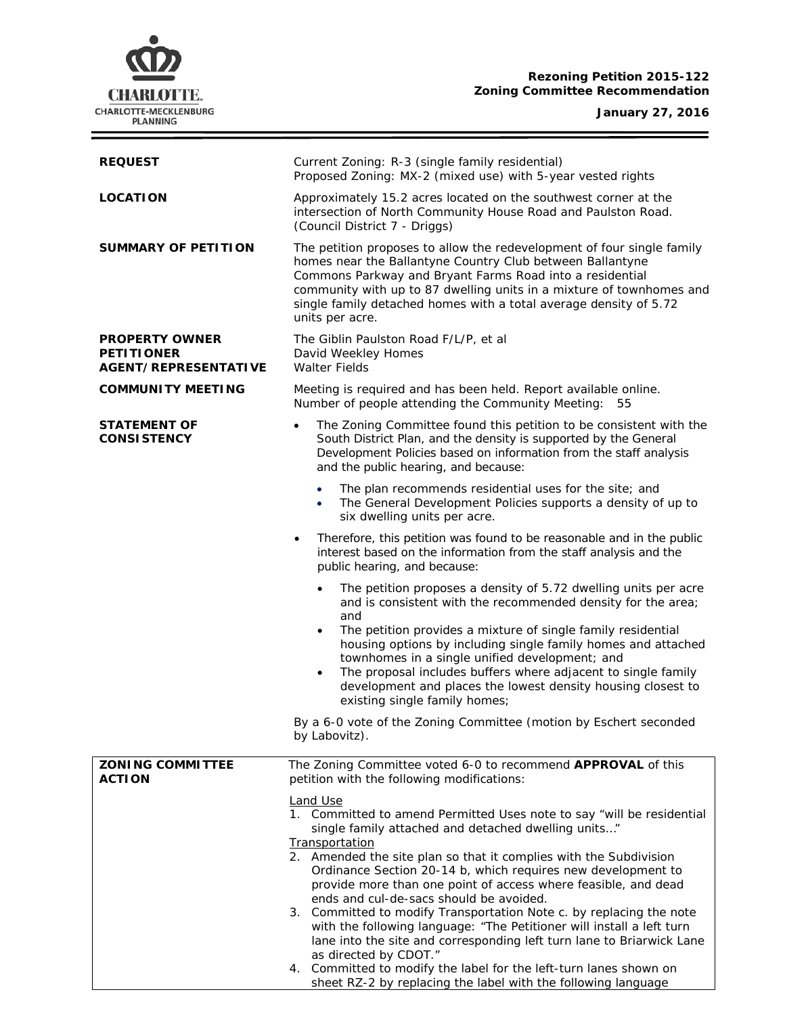# **CHARLOTTE.** CHARLOTTE-MECKLENBURG

## **Rezoning Petition 2015-122 Zoning Committee Recommendation**

### **January 27, 2016**

÷

| <b>REQUEST</b>                                                            | Current Zoning: R-3 (single family residential)<br>Proposed Zoning: MX-2 (mixed use) with 5-year vested rights                                                                                                                                                                                                                                                                                                                                                                                                                                                                                                                                      |  |  |
|---------------------------------------------------------------------------|-----------------------------------------------------------------------------------------------------------------------------------------------------------------------------------------------------------------------------------------------------------------------------------------------------------------------------------------------------------------------------------------------------------------------------------------------------------------------------------------------------------------------------------------------------------------------------------------------------------------------------------------------------|--|--|
| <b>LOCATION</b>                                                           | Approximately 15.2 acres located on the southwest corner at the<br>intersection of North Community House Road and Paulston Road.<br>(Council District 7 - Driggs)                                                                                                                                                                                                                                                                                                                                                                                                                                                                                   |  |  |
| <b>SUMMARY OF PETITION</b>                                                | The petition proposes to allow the redevelopment of four single family<br>homes near the Ballantyne Country Club between Ballantyne<br>Commons Parkway and Bryant Farms Road into a residential<br>community with up to 87 dwelling units in a mixture of townhomes and<br>single family detached homes with a total average density of 5.72<br>units per acre.                                                                                                                                                                                                                                                                                     |  |  |
| <b>PROPERTY OWNER</b><br><b>PETITIONER</b><br><b>AGENT/REPRESENTATIVE</b> | The Giblin Paulston Road F/L/P, et al<br>David Weekley Homes<br><b>Walter Fields</b>                                                                                                                                                                                                                                                                                                                                                                                                                                                                                                                                                                |  |  |
| <b>COMMUNITY MEETING</b>                                                  | Meeting is required and has been held. Report available online.<br>Number of people attending the Community Meeting: 55                                                                                                                                                                                                                                                                                                                                                                                                                                                                                                                             |  |  |
| <b>STATEMENT OF</b><br><b>CONSISTENCY</b>                                 | The Zoning Committee found this petition to be consistent with the<br>$\bullet$<br>South District Plan, and the density is supported by the General<br>Development Policies based on information from the staff analysis<br>and the public hearing, and because:                                                                                                                                                                                                                                                                                                                                                                                    |  |  |
|                                                                           | The plan recommends residential uses for the site; and<br>$\bullet$<br>The General Development Policies supports a density of up to<br>$\bullet$<br>six dwelling units per acre.                                                                                                                                                                                                                                                                                                                                                                                                                                                                    |  |  |
|                                                                           | Therefore, this petition was found to be reasonable and in the public<br>٠<br>interest based on the information from the staff analysis and the<br>public hearing, and because:                                                                                                                                                                                                                                                                                                                                                                                                                                                                     |  |  |
|                                                                           | The petition proposes a density of 5.72 dwelling units per acre<br>$\bullet$<br>and is consistent with the recommended density for the area;<br>and<br>The petition provides a mixture of single family residential<br>$\bullet$<br>housing options by including single family homes and attached<br>townhomes in a single unified development; and<br>The proposal includes buffers where adjacent to single family<br>$\bullet$<br>development and places the lowest density housing closest to                                                                                                                                                   |  |  |
|                                                                           | existing single family homes;<br>By a 6-0 vote of the Zoning Committee (motion by Eschert seconded                                                                                                                                                                                                                                                                                                                                                                                                                                                                                                                                                  |  |  |
|                                                                           | by Labovitz).                                                                                                                                                                                                                                                                                                                                                                                                                                                                                                                                                                                                                                       |  |  |
| <b>ZONING COMMITTEE</b><br><b>ACTION</b>                                  | The Zoning Committee voted 6-0 to recommend APPROVAL of this<br>petition with the following modifications:                                                                                                                                                                                                                                                                                                                                                                                                                                                                                                                                          |  |  |
|                                                                           | <b>Land Use</b><br>1. Committed to amend Permitted Uses note to say "will be residential<br>single family attached and detached dwelling units"<br><b>Transportation</b><br>2. Amended the site plan so that it complies with the Subdivision<br>Ordinance Section 20-14 b, which requires new development to<br>provide more than one point of access where feasible, and dead<br>ends and cul-de-sacs should be avoided.<br>3. Committed to modify Transportation Note c. by replacing the note<br>with the following language: "The Petitioner will install a left turn<br>lane into the site and corresponding left turn lane to Briarwick Lane |  |  |
|                                                                           | as directed by CDOT."<br>4. Committed to modify the label for the left-turn lanes shown on<br>sheet RZ-2 by replacing the label with the following language                                                                                                                                                                                                                                                                                                                                                                                                                                                                                         |  |  |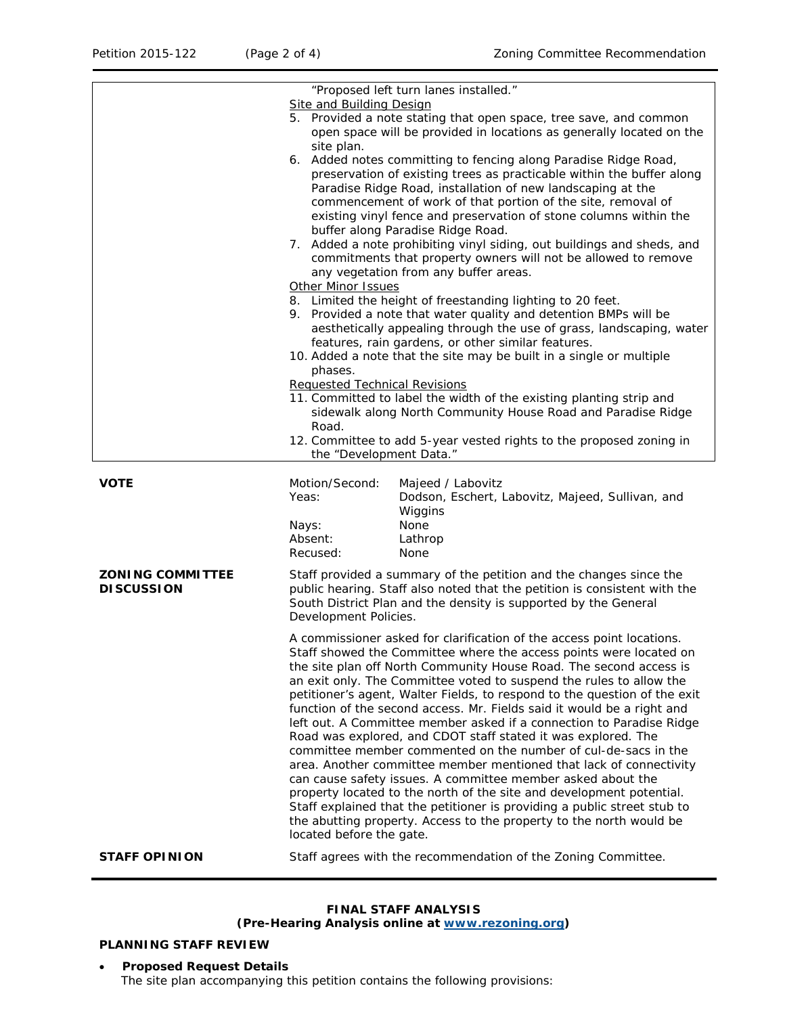|                                              | <b>Site and Building Design</b>                                                                                                                                                                                                                                                                                          | "Proposed left turn lanes installed."                                                                                                                                                                                                                                                                                                                                                                                                                                                                                                                                                                                                                                                                                                                                                                                                                                                                                                                                                                                      |
|----------------------------------------------|--------------------------------------------------------------------------------------------------------------------------------------------------------------------------------------------------------------------------------------------------------------------------------------------------------------------------|----------------------------------------------------------------------------------------------------------------------------------------------------------------------------------------------------------------------------------------------------------------------------------------------------------------------------------------------------------------------------------------------------------------------------------------------------------------------------------------------------------------------------------------------------------------------------------------------------------------------------------------------------------------------------------------------------------------------------------------------------------------------------------------------------------------------------------------------------------------------------------------------------------------------------------------------------------------------------------------------------------------------------|
|                                              | site plan.                                                                                                                                                                                                                                                                                                               | 5. Provided a note stating that open space, tree save, and common<br>open space will be provided in locations as generally located on the                                                                                                                                                                                                                                                                                                                                                                                                                                                                                                                                                                                                                                                                                                                                                                                                                                                                                  |
|                                              |                                                                                                                                                                                                                                                                                                                          | 6. Added notes committing to fencing along Paradise Ridge Road,<br>preservation of existing trees as practicable within the buffer along<br>Paradise Ridge Road, installation of new landscaping at the<br>commencement of work of that portion of the site, removal of                                                                                                                                                                                                                                                                                                                                                                                                                                                                                                                                                                                                                                                                                                                                                    |
|                                              | existing vinyl fence and preservation of stone columns within the<br>buffer along Paradise Ridge Road.<br>7. Added a note prohibiting vinyl siding, out buildings and sheds, and<br>commitments that property owners will not be allowed to remove<br>any vegetation from any buffer areas.<br><b>Other Minor Issues</b> |                                                                                                                                                                                                                                                                                                                                                                                                                                                                                                                                                                                                                                                                                                                                                                                                                                                                                                                                                                                                                            |
|                                              |                                                                                                                                                                                                                                                                                                                          |                                                                                                                                                                                                                                                                                                                                                                                                                                                                                                                                                                                                                                                                                                                                                                                                                                                                                                                                                                                                                            |
|                                              |                                                                                                                                                                                                                                                                                                                          | 8. Limited the height of freestanding lighting to 20 feet.<br>9. Provided a note that water quality and detention BMPs will be<br>aesthetically appealing through the use of grass, landscaping, water<br>features, rain gardens, or other similar features.<br>10. Added a note that the site may be built in a single or multiple                                                                                                                                                                                                                                                                                                                                                                                                                                                                                                                                                                                                                                                                                        |
|                                              | phases.<br><b>Requested Technical Revisions</b><br>Road.                                                                                                                                                                                                                                                                 | 11. Committed to label the width of the existing planting strip and<br>sidewalk along North Community House Road and Paradise Ridge<br>12. Committee to add 5-year vested rights to the proposed zoning in                                                                                                                                                                                                                                                                                                                                                                                                                                                                                                                                                                                                                                                                                                                                                                                                                 |
|                                              | the "Development Data."                                                                                                                                                                                                                                                                                                  |                                                                                                                                                                                                                                                                                                                                                                                                                                                                                                                                                                                                                                                                                                                                                                                                                                                                                                                                                                                                                            |
|                                              |                                                                                                                                                                                                                                                                                                                          |                                                                                                                                                                                                                                                                                                                                                                                                                                                                                                                                                                                                                                                                                                                                                                                                                                                                                                                                                                                                                            |
| <b>VOTE</b>                                  | Motion/Second:<br>Yeas:                                                                                                                                                                                                                                                                                                  | Majeed / Labovitz<br>Dodson, Eschert, Labovitz, Majeed, Sullivan, and<br>Wiggins                                                                                                                                                                                                                                                                                                                                                                                                                                                                                                                                                                                                                                                                                                                                                                                                                                                                                                                                           |
|                                              | Nays:<br>Absent:<br>Recused:                                                                                                                                                                                                                                                                                             | None<br>Lathrop<br>None                                                                                                                                                                                                                                                                                                                                                                                                                                                                                                                                                                                                                                                                                                                                                                                                                                                                                                                                                                                                    |
| <b>ZONING COMMITTEE</b><br><b>DISCUSSION</b> | Development Policies.                                                                                                                                                                                                                                                                                                    | Staff provided a summary of the petition and the changes since the<br>public hearing. Staff also noted that the petition is consistent with the<br>South District Plan and the density is supported by the General                                                                                                                                                                                                                                                                                                                                                                                                                                                                                                                                                                                                                                                                                                                                                                                                         |
|                                              |                                                                                                                                                                                                                                                                                                                          | A commissioner asked for clarification of the access point locations.<br>Staff showed the Committee where the access points were located on<br>the site plan off North Community House Road. The second access is<br>an exit only. The Committee voted to suspend the rules to allow the<br>petitioner's agent, Walter Fields, to respond to the question of the exit<br>function of the second access. Mr. Fields said it would be a right and<br>left out. A Committee member asked if a connection to Paradise Ridge<br>Road was explored, and CDOT staff stated it was explored. The<br>committee member commented on the number of cul-de-sacs in the<br>area. Another committee member mentioned that lack of connectivity<br>can cause safety issues. A committee member asked about the<br>property located to the north of the site and development potential.<br>Staff explained that the petitioner is providing a public street stub to<br>the abutting property. Access to the property to the north would be |
| <b>STAFF OPINION</b>                         | located before the gate.                                                                                                                                                                                                                                                                                                 | Staff agrees with the recommendation of the Zoning Committee.                                                                                                                                                                                                                                                                                                                                                                                                                                                                                                                                                                                                                                                                                                                                                                                                                                                                                                                                                              |

# **FINAL STAFF ANALYSIS**

**(Pre-Hearing Analysis online at [www.rezoning.org\)](http://www.rezoning.org/)** 

# **PLANNING STAFF REVIEW**

#### • **Proposed Request Details** The site plan accompanying this petition contains the following provisions: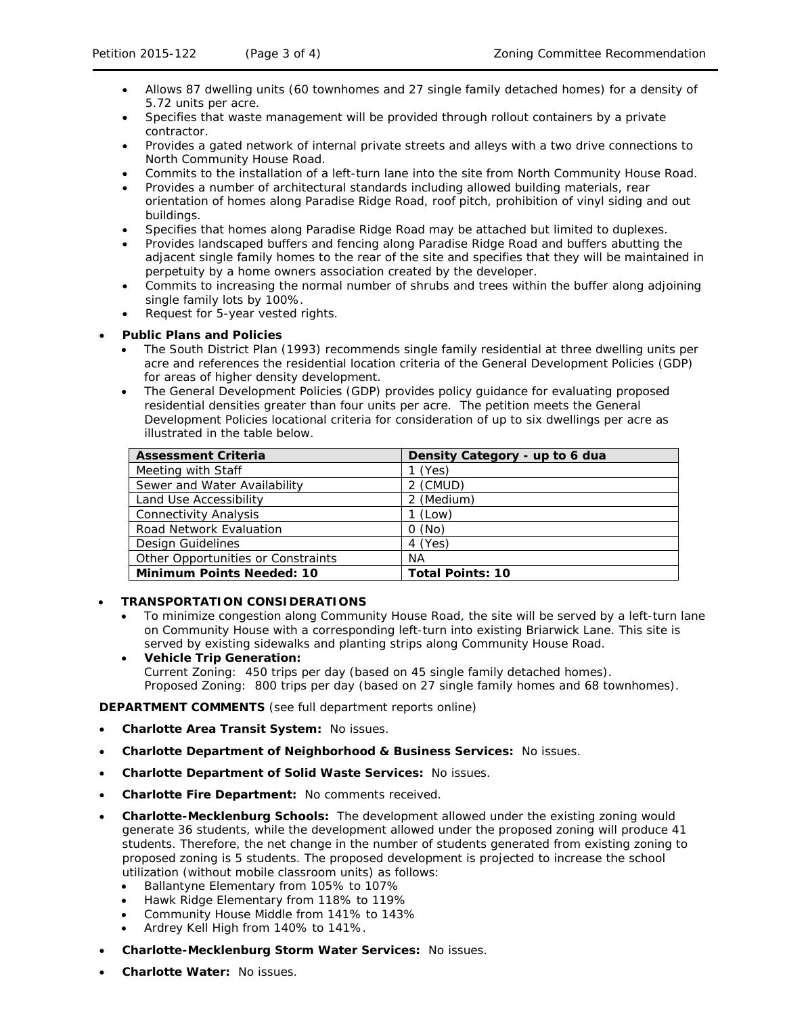- Allows 87 dwelling units (60 townhomes and 27 single family detached homes) for a density of 5.72 units per acre.
- Specifies that waste management will be provided through rollout containers by a private contractor.
- Provides a gated network of internal private streets and alleys with a two drive connections to North Community House Road.
- Commits to the installation of a left-turn lane into the site from North Community House Road.
- Provides a number of architectural standards including allowed building materials, rear orientation of homes along Paradise Ridge Road, roof pitch, prohibition of vinyl siding and out buildings.
- Specifies that homes along Paradise Ridge Road may be attached but limited to duplexes.
- Provides landscaped buffers and fencing along Paradise Ridge Road and buffers abutting the adjacent single family homes to the rear of the site and specifies that they will be maintained in perpetuity by a home owners association created by the developer.
- Commits to increasing the normal number of shrubs and trees within the buffer along adjoining single family lots by 100%.
- Request for 5-year vested rights.

## • **Public Plans and Policies**

- The *South District Plan* (1993) recommends single family residential at three dwelling units per acre and references the residential location criteria of the *General Development Policies* (*GDP*) for areas of higher density development.
- The *General Development Policies (GDP)* provides policy guidance for evaluating proposed residential densities greater than four units per acre. The petition meets the *General Development Policies* locational criteria for consideration of up to six dwellings per acre as illustrated in the table below.

| <b>Assessment Criteria</b>         | Density Category - up to 6 dua |
|------------------------------------|--------------------------------|
| Meeting with Staff                 | (Yes)                          |
| Sewer and Water Availability       | 2 (CMUD)                       |
| Land Use Accessibility             | 2 (Medium)                     |
| <b>Connectivity Analysis</b>       | (Low)                          |
| Road Network Evaluation            | O(No)                          |
| Design Guidelines                  | 4 (Yes)                        |
| Other Opportunities or Constraints | ΝA                             |
| <b>Minimum Points Needed: 10</b>   | <b>Total Points: 10</b>        |

## • **TRANSPORTATION CONSIDERATIONS**

- To minimize congestion along Community House Road, the site will be served by a left-turn lane on Community House with a corresponding left-turn into existing Briarwick Lane. This site is served by existing sidewalks and planting strips along Community House Road.
- **Vehicle Trip Generation:** Current Zoning: 450 trips per day (based on 45 single family detached homes). Proposed Zoning: 800 trips per day (based on 27 single family homes and 68 townhomes).

**DEPARTMENT COMMENTS** (see full department reports online)

- **Charlotte Area Transit System:** No issues.
- **Charlotte Department of Neighborhood & Business Services:** No issues.
- **Charlotte Department of Solid Waste Services:** No issues.
- **Charlotte Fire Department:** No comments received.
- **Charlotte-Mecklenburg Schools:** The development allowed under the existing zoning would generate 36 students, while the development allowed under the proposed zoning will produce 41 students. Therefore, the net change in the number of students generated from existing zoning to proposed zoning is 5 students. The proposed development is projected to increase the school utilization (without mobile classroom units) as follows:
	- Ballantyne Elementary from 105% to 107%
	- Hawk Ridge Elementary from 118% to 119%
	- Community House Middle from 141% to 143%
	- Ardrey Kell High from 140% to 141%.
- **Charlotte-Mecklenburg Storm Water Services:** No issues.
- **Charlotte Water:** No issues.